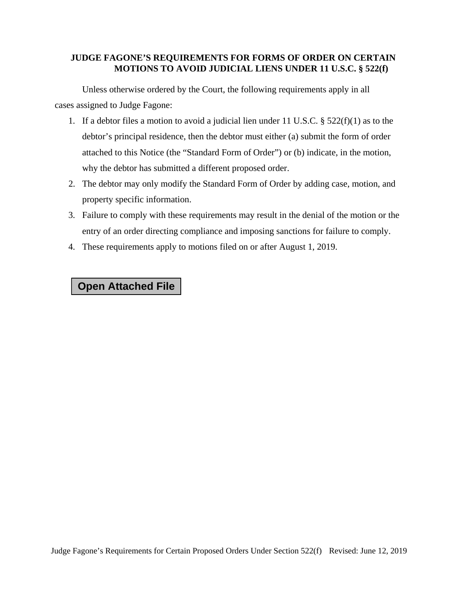## **JUDGE FAGONE'S REQUIREMENTS FOR FORMS OF ORDER ON CERTAIN MOTIONS TO AVOID JUDICIAL LIENS UNDER 11 U.S.C. § 522(f)**

Unless otherwise ordered by the Court, the following requirements apply in all cases assigned to Judge Fagone:

- 1. If a debtor files a motion to avoid a judicial lien under 11 U.S.C.  $\S$  522(f)(1) as to the debtor's principal residence, then the debtor must either (a) submit the form of order attached to this Notice (the "Standard Form of Order") or (b) indicate, in the motion, why the debtor has submitted a different proposed order.
- 2. The debtor may only modify the Standard Form of Order by adding case, motion, and property specific information.
- 3. Failure to comply with these requirements may result in the denial of the motion or the entry of an order directing compliance and imposing sanctions for failure to comply.
- 4. These requirements apply to motions filed on or after August 1, 2019.

## **Open Attached File**